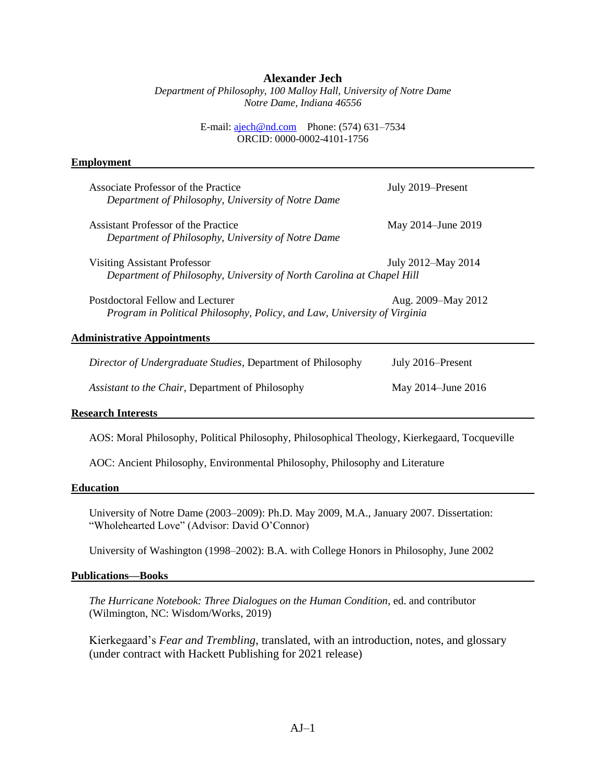## **Alexander Jech**

*Department of Philosophy, 100 Malloy Hall, University of Notre Dame Notre Dame, Indiana 46556*

> E-mail: [ajech@nd.com](mailto:ajech@nd.com) Phone: (574) 631–7534 ORCID: 0000-0002-4101-1756

### **Employment**

| Associate Professor of the Practice<br>Department of Philosophy, University of Notre Dame                                          | July 2019–Present  |  |
|------------------------------------------------------------------------------------------------------------------------------------|--------------------|--|
| Assistant Professor of the Practice<br>Department of Philosophy, University of Notre Dame                                          | May 2014–June 2019 |  |
| <b>Visiting Assistant Professor</b><br>July 2012–May 2014<br>Department of Philosophy, University of North Carolina at Chapel Hill |                    |  |
| Postdoctoral Fellow and Lecturer<br>Program in Political Philosophy, Policy, and Law, University of Virginia                       | Aug. 2009–May 2012 |  |
| <b>Administrative Appointments</b>                                                                                                 |                    |  |
| Director of Undergraduate Studies, Department of Philosophy                                                                        | July 2016–Present  |  |
| Assistant to the Chair, Department of Philosophy                                                                                   | May 2014–June 2016 |  |

## **Research Interests**

AOS: Moral Philosophy, Political Philosophy, Philosophical Theology, Kierkegaard, Tocqueville

AOC: Ancient Philosophy, Environmental Philosophy, Philosophy and Literature

#### **Education**

University of Notre Dame (2003–2009): Ph.D. May 2009, M.A., January 2007. Dissertation: "Wholehearted Love" (Advisor: David O'Connor)

University of Washington (1998–2002): B.A. with College Honors in Philosophy, June 2002

#### **Publications—Books**

*The Hurricane Notebook: Three Dialogues on the Human Condition*, ed. and contributor (Wilmington, NC: Wisdom/Works, 2019)

Kierkegaard's *Fear and Trembling*, translated, with an introduction, notes, and glossary (under contract with Hackett Publishing for 2021 release)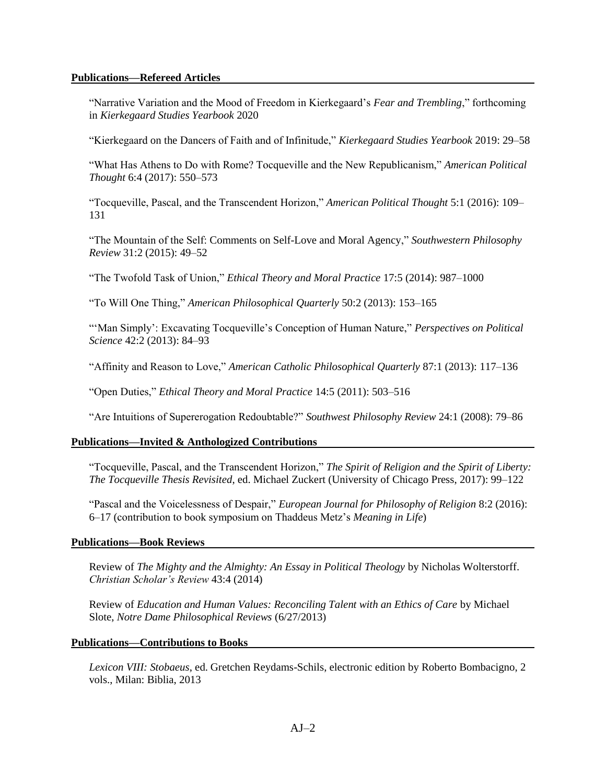## **Publications—Refereed Articles**

"Narrative Variation and the Mood of Freedom in Kierkegaard's *Fear and Trembling*," forthcoming in *Kierkegaard Studies Yearbook* 2020

"Kierkegaard on the Dancers of Faith and of Infinitude," *Kierkegaard Studies Yearbook* 2019: 29–58

"What Has Athens to Do with Rome? Tocqueville and the New Republicanism," *American Political Thought* 6:4 (2017): 550–573

"Tocqueville, Pascal, and the Transcendent Horizon," *American Political Thought* 5:1 (2016): 109– 131

"The Mountain of the Self: Comments on Self-Love and Moral Agency," *Southwestern Philosophy Review* 31:2 (2015): 49–52

"The Twofold Task of Union," *Ethical Theory and Moral Practice* 17:5 (2014): 987–1000

"To Will One Thing," *American Philosophical Quarterly* 50:2 (2013): 153–165

"'Man Simply': Excavating Tocqueville's Conception of Human Nature," *Perspectives on Political Science* 42:2 (2013): 84–93

"Affinity and Reason to Love," *American Catholic Philosophical Quarterly* 87:1 (2013): 117–136

"Open Duties," *Ethical Theory and Moral Practice* 14:5 (2011): 503–516

"Are Intuitions of Supererogation Redoubtable?" *Southwest Philosophy Review* 24:1 (2008): 79–86

### **Publications—Invited & Anthologized Contributions**

"Tocqueville, Pascal, and the Transcendent Horizon," *The Spirit of Religion and the Spirit of Liberty: The Tocqueville Thesis Revisited*, ed. Michael Zuckert (University of Chicago Press, 2017): 99–122

"Pascal and the Voicelessness of Despair," *European Journal for Philosophy of Religion* 8:2 (2016): 6–17 (contribution to book symposium on Thaddeus Metz's *Meaning in Life*)

#### **Publications—Book Reviews**

Review of *The Mighty and the Almighty: An Essay in Political Theology* by Nicholas Wolterstorff. *Christian Scholar's Review* 43:4 (2014)

Review of *Education and Human Values: Reconciling Talent with an Ethics of Care* by Michael Slote, *Notre Dame Philosophical Reviews* (6/27/2013)

### **Publications—Contributions to Books**

*Lexicon VIII: Stobaeus*, ed. Gretchen Reydams-Schils, electronic edition by Roberto Bombacigno, 2 vols., Milan: Biblia, 2013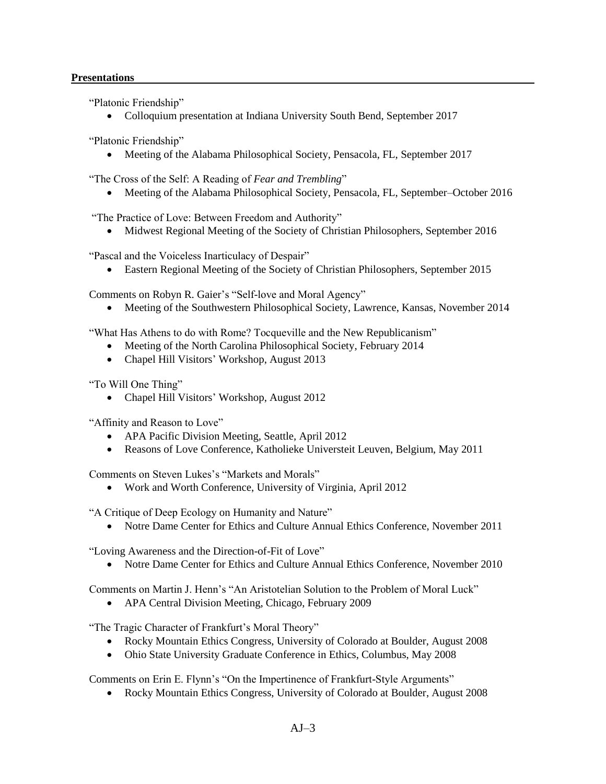# **Presentations**

"Platonic Friendship"

Colloquium presentation at Indiana University South Bend, September 2017

"Platonic Friendship"

• Meeting of the Alabama Philosophical Society, Pensacola, FL, September 2017

"The Cross of the Self: A Reading of *Fear and Trembling*"

Meeting of the Alabama Philosophical Society, Pensacola, FL, September–October 2016

"The Practice of Love: Between Freedom and Authority"

Midwest Regional Meeting of the Society of Christian Philosophers, September 2016

"Pascal and the Voiceless Inarticulacy of Despair"

Eastern Regional Meeting of the Society of Christian Philosophers, September 2015

Comments on Robyn R. Gaier's "Self-love and Moral Agency"

Meeting of the Southwestern Philosophical Society, Lawrence, Kansas, November 2014

"What Has Athens to do with Rome? Tocqueville and the New Republicanism"

- Meeting of the North Carolina Philosophical Society, February 2014
- Chapel Hill Visitors' Workshop, August 2013

"To Will One Thing"

• Chapel Hill Visitors' Workshop, August 2012

"Affinity and Reason to Love"

- APA Pacific Division Meeting, Seattle, April 2012
- Reasons of Love Conference, Katholieke Universteit Leuven, Belgium, May 2011

Comments on Steven Lukes's "Markets and Morals"

Work and Worth Conference, University of Virginia, April 2012

"A Critique of Deep Ecology on Humanity and Nature"

• Notre Dame Center for Ethics and Culture Annual Ethics Conference, November 2011

"Loving Awareness and the Direction-of-Fit of Love"

Notre Dame Center for Ethics and Culture Annual Ethics Conference, November 2010

Comments on Martin J. Henn's "An Aristotelian Solution to the Problem of Moral Luck"

APA Central Division Meeting, Chicago, February 2009

"The Tragic Character of Frankfurt's Moral Theory"

- Rocky Mountain Ethics Congress, University of Colorado at Boulder, August 2008
- Ohio State University Graduate Conference in Ethics, Columbus, May 2008

Comments on Erin E. Flynn's "On the Impertinence of Frankfurt-Style Arguments"

Rocky Mountain Ethics Congress, University of Colorado at Boulder, August 2008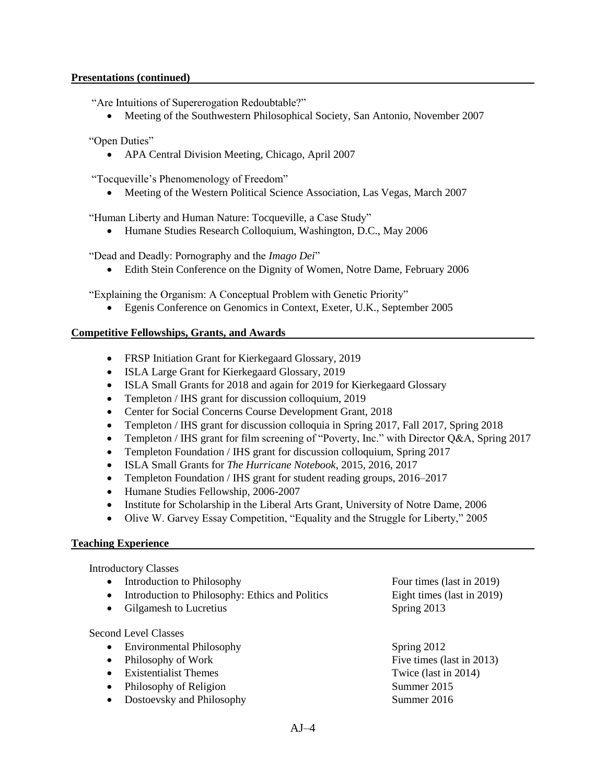## **Presentations (continued)**

"Are Intuitions of Supererogation Redoubtable?"

Meeting of the Southwestern Philosophical Society, San Antonio, November 2007

"Open Duties"

• APA Central Division Meeting, Chicago, April 2007

"Tocqueville's Phenomenology of Freedom"

Meeting of the Western Political Science Association, Las Vegas, March 2007

"Human Liberty and Human Nature: Tocqueville, a Case Study"

Humane Studies Research Colloquium, Washington, D.C., May 2006

"Dead and Deadly: Pornography and the *Imago Dei*"

Edith Stein Conference on the Dignity of Women, Notre Dame, February 2006

"Explaining the Organism: A Conceptual Problem with Genetic Priority"

Egenis Conference on Genomics in Context, Exeter, U.K., September 2005

# **Competitive Fellowships, Grants, and Awards**

- FRSP Initiation Grant for Kierkegaard Glossary, 2019
- ISLA Large Grant for Kierkegaard Glossary, 2019
- ISLA Small Grants for 2018 and again for 2019 for Kierkegaard Glossary
- Templeton / IHS grant for discussion colloquium, 2019
- Center for Social Concerns Course Development Grant, 2018
- Templeton / IHS grant for discussion colloquia in Spring 2017, Fall 2017, Spring 2018
- Templeton / IHS grant for film screening of "Poverty, Inc." with Director O&A, Spring 2017
- Templeton Foundation / IHS grant for discussion colloquium, Spring 2017
- ISLA Small Grants for *The Hurricane Notebook*, 2015, 2016, 2017
- Templeton Foundation / IHS grant for student reading groups, 2016–2017
- Humane Studies Fellowship, 2006-2007
- Institute for Scholarship in the Liberal Arts Grant, University of Notre Dame, 2006
- Olive W. Garvey Essay Competition, "Equality and the Struggle for Liberty," 2005

## **Teaching Experience**

Introductory Classes

- Introduction to Philosophy **Four times** (last in 2019)
- Introduction to Philosophy: Ethics and Politics Eight times (last in 2019)
- Gilgamesh to Lucretius Spring 2013

Second Level Classes

- Environmental Philosophy Spring 2012
- Philosophy of Work Five times (last in 2013)
- Existentialist Themes Twice (last in 2014)
- Philosophy of Religion Summer 2015
- Dostoevsky and Philosophy Summer 2016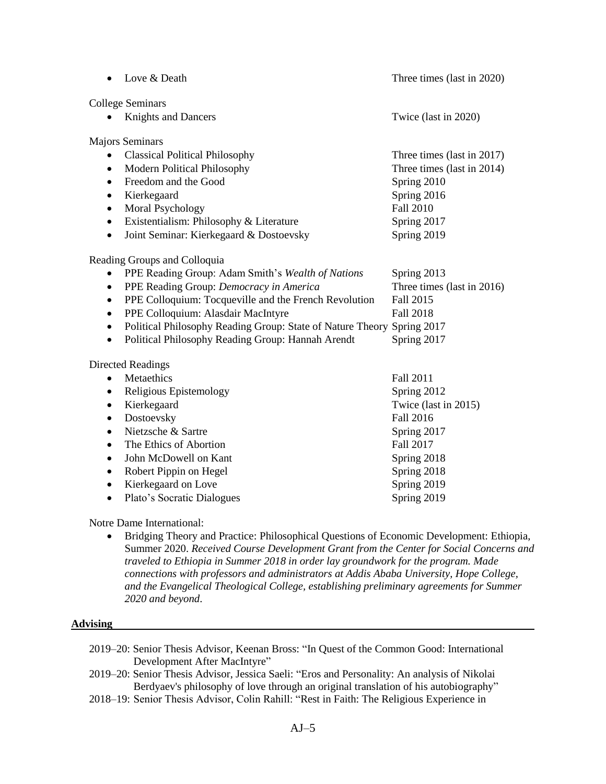|                              | Love & Death                                                           | Three times (last in 2020) |  |
|------------------------------|------------------------------------------------------------------------|----------------------------|--|
| College Seminars             |                                                                        |                            |  |
|                              | <b>Knights and Dancers</b>                                             | Twice (last in 2020)       |  |
| <b>Majors Seminars</b>       |                                                                        |                            |  |
|                              | <b>Classical Political Philosophy</b>                                  | Three times (last in 2017) |  |
| $\bullet$                    | Modern Political Philosophy                                            | Three times (last in 2014) |  |
| $\bullet$                    | Freedom and the Good                                                   | Spring 2010                |  |
| $\bullet$                    | Kierkegaard                                                            | Spring 2016                |  |
| $\bullet$                    | Moral Psychology                                                       | <b>Fall 2010</b>           |  |
| $\bullet$                    | Existentialism: Philosophy & Literature                                | Spring 2017                |  |
| $\bullet$                    | Joint Seminar: Kierkegaard & Dostoevsky                                | Spring 2019                |  |
| Reading Groups and Colloquia |                                                                        |                            |  |
| $\bullet$                    | PPE Reading Group: Adam Smith's Wealth of Nations                      | Spring 2013                |  |
| $\bullet$                    | PPE Reading Group: Democracy in America                                | Three times (last in 2016) |  |
| $\bullet$                    | PPE Colloquium: Tocqueville and the French Revolution                  | Fall 2015                  |  |
| $\bullet$                    | PPE Colloquium: Alasdair MacIntyre                                     | <b>Fall 2018</b>           |  |
| $\bullet$                    | Political Philosophy Reading Group: State of Nature Theory Spring 2017 |                            |  |
| $\bullet$                    | Political Philosophy Reading Group: Hannah Arendt                      | Spring 2017                |  |
| <b>Directed Readings</b>     |                                                                        |                            |  |
| $\bullet$                    | Metaethics                                                             | Fall 2011                  |  |
| $\bullet$                    | Religious Epistemology                                                 | Spring 2012                |  |
| ٠                            | Kierkegaard                                                            | Twice (last in 2015)       |  |
| $\bullet$                    | Dostoevsky                                                             | <b>Fall 2016</b>           |  |
| $\bullet$                    | Nietzsche & Sartre                                                     | Spring 2017                |  |
| $\bullet$                    | The Ethics of Abortion                                                 | Fall 2017                  |  |
| $\bullet$                    | John McDowell on Kant                                                  | Spring 2018                |  |
| $\bullet$                    | Robert Pippin on Hegel                                                 | Spring 2018                |  |
| $\bullet$                    | Kierkegaard on Love                                                    | Spring 2019                |  |
| $\bullet$                    | Plato's Socratic Dialogues                                             | Spring 2019                |  |

Notre Dame International:

 Bridging Theory and Practice: Philosophical Questions of Economic Development: Ethiopia, Summer 2020. *Received Course Development Grant from the Center for Social Concerns and traveled to Ethiopia in Summer 2018 in order lay groundwork for the program. Made connections with professors and administrators at Addis Ababa University, Hope College, and the Evangelical Theological College, establishing preliminary agreements for Summer 2020 and beyond*.

### **Advising**

- 2019–20: Senior Thesis Advisor, Keenan Bross: "In Quest of the Common Good: International Development After MacIntyre"
- 2019–20: Senior Thesis Advisor, Jessica Saeli: "Eros and Personality: An analysis of Nikolai Berdyaev's philosophy of love through an original translation of his autobiography"
- 2018–19: Senior Thesis Advisor, Colin Rahill: "Rest in Faith: The Religious Experience in